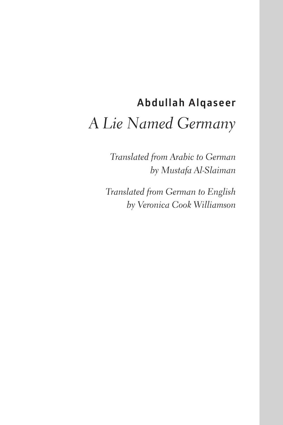## **Abdullah Alqaseer** *A Lie Named Germany*

*Translated from Arabic to German by Mustafa Al-Slaiman*

*Translated from German to English by Veronica Cook Williamson*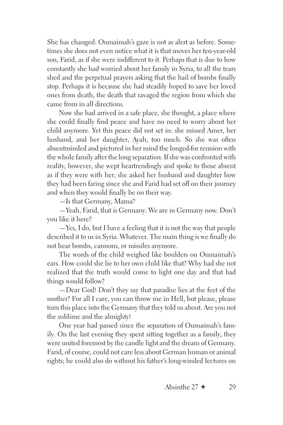She has changed. Oumaimah's gaze is not as alert as before. Sometimes she does not even notice what it is that moves her ten-year-old son, Farid, as if she were indifferent to it. Perhaps that is due to how constantly she had worried about her family in Syria, to all the tears shed and the perpetual prayers asking that the hail of bombs finally stop. Perhaps it is because she had steadily hoped to save her loved ones from death, the death that ravaged the region from which she came from in all directions.

Now she had arrived in a safe place, she thought, a place where she could finally find peace and have no need to worry about her child anymore. Yet this peace did not set in: she missed Amer, her husband, and her daughter, Ayah, too much. So she was often absentminded and pictured in her mind the longed-for reunion with the whole family after the long separation. If she was confronted with reality, however, she wept heartrendingly and spoke to those absent as if they were with her; she asked her husband and daughter how they had been faring since she and Farid had set off on their journey and when they would finally be on their way.

—Is that Germany, Mama?

—Yeah, Farid, that is Germany. We are in Germany now. Don't you like it here?

—Yes, I do, but I have a feeling that it is not the way that people described it to us in Syria. Whatever. The main thing is we finally do not hear bombs, cannons, or missiles anymore.

The words of the child weighed like boulders on Oumaimah's ears. How could she lie to her own child like that? Why had she not realized that the truth would come to light one day and that bad things would follow?

—Dear God! Don't they say that paradise lies at the feet of the mother? For all I care, you can throw me in Hell, but please, please turn this place into the Germany that they told us about. Are you not the sublime and the almighty!

One year had passed since the separation of Oumaimah's family. On the last evening they spent sitting together as a family, they were united foremost by the candle light and the dream of Germany. Farid, of course, could not care less about German human or animal rights; he could also do without his father's long-winded lectures on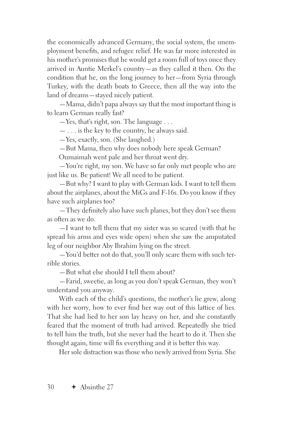the economically advanced Germany, the social system, the unemployment benefits, and refugee relief. He was far more interested in his mother's promises that he would get a room full of toys once they arrived in Auntie Merkel's country—as they called it then. On the condition that he, on the long journey to her—from Syria through Turkey, with the death boats to Greece, then all the way into the land of dreams—stayed nicely patient.

—Mama, didn't papa always say that the most important thing is to learn German really fast?

—Yes, that's right, son. The language . . .

— . . . is the key to the country, he always said.

—Yes, exactly, son. (She laughed.)

—But Mama, then why does nobody here speak German?

Oumaimah went pale and her throat went dry.

—You're right, my son. We have so far only met people who are just like us. Be patient! We all need to be patient.

—But why? I want to play with German kids. I want to tell them about the airplanes, about the MiGs and F-16s. Do you know if they have such airplanes too?

—They definitely also have such planes, but they don't see them as often as we do.

—I want to tell them that my sister was so scared (with that he spread his arms and eyes wide open) when she saw the amputated leg of our neighbor Aby Ibrahim lying on the street.

—You'd better not do that, you'll only scare them with such terrible stories.

—But what else should I tell them about?

—Farid, sweetie, as long as you don't speak German, they won't understand you anyway.

With each of the child's questions, the mother's lie grew, along with her worry, how to ever find her way out of this lattice of lies. That she had lied to her son lay heavy on her, and she constantly feared that the moment of truth had arrived. Repeatedly she tried to tell him the truth, but she never had the heart to do it. Then she thought again, time will fix everything and it is better this way.

Her sole distraction was those who newly arrived from Syria. She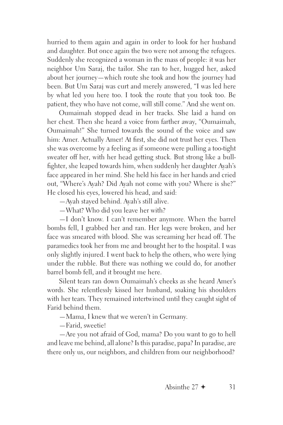hurried to them again and again in order to look for her husband and daughter. But once again the two were not among the refugees. Suddenly she recognized a woman in the mass of people: it was her neighbor Um Saraj, the tailor. She ran to her, hugged her, asked about her journey—which route she took and how the journey had been. But Um Saraj was curt and merely answered, "I was led here by what led you here too. I took the route that you took too. Be patient, they who have not come, will still come." And she went on.

Oumaimah stopped dead in her tracks. She laid a hand on her chest. Then she heard a voice from farther away, "Oumaimah, Oumaimah!" She turned towards the sound of the voice and saw him: Amer. Actually Amer! At first, she did not trust her eyes. Then she was overcome by a feeling as if someone were pulling a too-tight sweater off her, with her head getting stuck. But strong like a bullfighter, she leaped towards him, when suddenly her daughter Ayah's face appeared in her mind. She held his face in her hands and cried out, "Where's Ayah? Did Ayah not come with you? Where is she?" He closed his eyes, lowered his head, and said:

—Ayah stayed behind. Ayah's still alive.

—What? Who did you leave her with?

—I don't know. I can't remember anymore. When the barrel bombs fell, I grabbed her and ran. Her legs were broken, and her face was smeared with blood. She was screaming her head off. The paramedics took her from me and brought her to the hospital. I was only slightly injured. I went back to help the others, who were lying under the rubble. But there was nothing we could do, for another barrel bomb fell, and it brought me here.

Silent tears ran down Oumaimah's cheeks as she heard Amer's words. She relentlessly kissed her husband, soaking his shoulders with her tears. They remained intertwined until they caught sight of Farid behind them.

—Mama, I knew that we weren't in Germany.

—Farid, sweetie!

—Are you not afraid of God, mama? Do you want to go to hell and leave me behind, all alone? Is this paradise, papa? In paradise, are there only us, our neighbors, and children from our neighborhood?